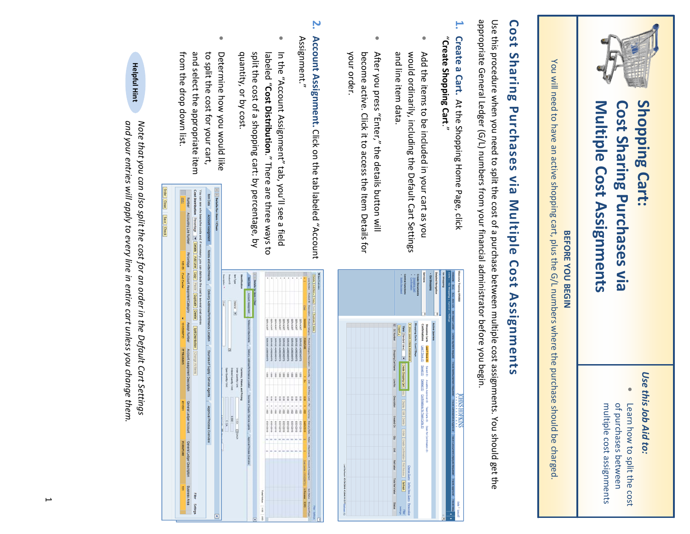

## **Shopping Cart: Cost Sharing Purchases via Multiple Cost Assignments**

### *Use this Job Aid to:*

• Learn how to split the cost <u>ር</u> purchases between multiple cost assignments

## **BEFORE YOU BEGIN**

You  $\stackrel{\leq}{=}$ need to have ۹E active shopping cart, plus the  $\frac{\Theta}{\Gamma}$ numbers where the purchase should  $\Xi$ charged.

# **Cost Sharing Purchases via Multiple Cost** Assignments **Assignments**

ទ<br>ទ this procedure when you need to split the cost of a purchase between multiple cost assignments. You should get the appropriate General Ledger (G/L) numbers from your financial administrator before you begin.

- **1. Create a Cart.** At the Shopping Home Page, click "**Create Shopping Cart**."
- Add the items to  $\Xi$ included 2. your cart as you ×<br>P∥ould ordinarily, including the Default Cart Settings a<br>D line item data.
- After you press "Enter," the details button  $\stackrel{\leq}{=}$ become active. Click a: to access the Item Details for your order.
- **2.** Assignment." Assignment." **Account Assignment.** Click on the គ្ន labeled "Account
- $\overline{\mathbf{5}}$ the "Account Assignment" tab, you'll see a field labeled "**Cost Distribution**.ະ There م<br>م three ways to split the cost of a shopping cart: হ percentage, হ quantity, or হ cost.
- Determine how you ×<br>P∣no like to split the cost for your cart, a<br>D select the appropriate item from the drop down list.

*a*\* i *i*

**L** 

**retails** for

S

n see who i<br>I**istribution**<br><u>Ion</u><br><u>Ion</u>

*1*Cisse<sub>1</sub>

> **r**õ.

|                          |                                                                                                                                        | <b>Create Documents</b>                   |                            |                                                     |                                                                |                                          |                                                                                                                                                                                         |
|--------------------------|----------------------------------------------------------------------------------------------------------------------------------------|-------------------------------------------|----------------------------|-----------------------------------------------------|----------------------------------------------------------------|------------------------------------------|-----------------------------------------------------------------------------------------------------------------------------------------------------------------------------------------|
|                          |                                                                                                                                        |                                           | ï                          |                                                     |                                                                | Mith   Go Shopping   Assteral   Settings | <b>Micome Training UPURRO</b>                                                                                                                                                           |
| <b>Export</b>            |                                                                                                                                        |                                           | Confirmations              | Shopping Carts                                      | Active Queries                                                 |                                          |                                                                                                                                                                                         |
| View [Stedert View]      | > Show Quick Creara Maintenance                                                                                                        | Shopping Carts - Last 7 Days              |                            |                                                     |                                                                |                                          |                                                                                                                                                                                         |
| $\overline{\phantom{a}}$ |                                                                                                                                        |                                           | Last7.Dara.00              | Lest 7 Days (0)                                     |                                                                |                                          |                                                                                                                                                                                         |
|                          |                                                                                                                                        |                                           | <b>Control</b><br>Stret(@) |                                                     |                                                                |                                          |                                                                                                                                                                                         |
|                          |                                                                                                                                        |                                           |                            |                                                     |                                                                |                                          |                                                                                                                                                                                         |
|                          |                                                                                                                                        |                                           |                            |                                                     |                                                                |                                          | <b>SNINGOH SNHO</b>                                                                                                                                                                     |
|                          |                                                                                                                                        |                                           |                            |                                                     |                                                                |                                          |                                                                                                                                                                                         |
|                          |                                                                                                                                        |                                           |                            |                                                     |                                                                |                                          |                                                                                                                                                                                         |
|                          |                                                                                                                                        |                                           |                            |                                                     |                                                                |                                          |                                                                                                                                                                                         |
|                          |                                                                                                                                        |                                           |                            |                                                     |                                                                |                                          |                                                                                                                                                                                         |
|                          |                                                                                                                                        |                                           |                            |                                                     |                                                                |                                          | <b>Head I Local</b>                                                                                                                                                                     |
|                          | Create Shopping Cart   [1992]   [1993] [1991]   [2099   Create Confirmation   Print President   [Refriesh<br>Settings<br><b>Titler</b> | Chance Query Define New Query Personalize |                            | <b>Celebration Confirmations for Team Carts (0)</b> | Awatton Approval (0) Team Carta (0) Queen for Confirmation (0) |                                          | were   ECO MCCS   BREWSCOPH   OPP Dyne Room   The Governor Docketh   The Contract Acoust   The Construction   The Construction   The Construction   The Construction   The Construction |

| nting Line Number<br>rcentage = Details Add Line   Copy   Paste   Duplicate   Delete<br>the costs and, if necessary, you can distribute the cost to several cost centres<br>unt Assignment   Notes and Attachments   Delivery Address/Performance Location<br>1 Chair<br>age, by<br>on syew a<br>a field<br>"Account<br>Percentage<br>Account Assignment Category<br>4 11 Details for items 1 Chair<br>Met 7ppe<br><b>Mentification</b><br>Cescriptor .<br><b>Readers</b><br>Detail E-58 terms   Cody   From   Depleate   Deter<br><b>BED DEE</b><br>The World's Theorem Photostony Photostony Photostony Charge United United United States Chines and Administrational Accountabilities<br><b>Reserved Assessed</b><br>P<br><b>CANADA</b><br>LIFOV/1835<br>LWC/W/H2E<br>000000<br><b>WOWABS</b><br><b>UNDY/NATE</b><br><b>URDY/KNSS</b><br><b>CROWAGE</b><br><b>UNDVAILED</b><br><b>URDWARZS</b><br><b>UNDY/VISIT</b><br>Networks Allminsons / Detroys Address/With the Marine of Sources of Subsidial Clevicia Agents / Approximation Diversion<br>Spit Distribution   Change All terms<br><b>EDITION YORKER</b><br><b>EDUCATION</b><br><b>SUSPICIOUS DIVISION</b><br><b>SUMMERS DVICE</b><br><b>SUGRESSION STATES</b><br><b>CORRESPON ZOVASS</b><br><b>CARDINAL AGREGATION</b><br><b>GRONZIBER ZIVEZE</b><br><b>CONTROVICIONS</b><br><b>CORPORATION</b><br>pources of Supply / Service Agents   Approval Process Overview<br>Account Assignment Description<br>Open Guantly / Und<br>Drawel Grantly / Unit<br>Order Guardy / Unit<br>Carrency, Values, and Pricing<br>$\frac{1}{8}$<br>š<br>š<br>š<br>$\frac{1}{8}$<br>ğ<br>ğ<br>š<br>ğ<br>ï<br>i<br>î<br>$\frac{6}{16}$<br>$\frac{6}{2}$<br>$\frac{6}{3}$<br>ů<br>$\frac{6}{8}$<br>ğ<br>Ë<br>i<br>General Leger Account<br>$rac{1}{8}$<br>$-58$<br>ş<br>ä<br>蓊<br>ā<br>ä<br>ä<br>ä<br>ä<br>3002.0<br>I<br>1 ta DERACH<br>vz 1<br><b>BIRDS2010</b><br>02010010<br><b>BIGDICKS</b><br>01021050<br>01001051<br>01001003<br>01021003<br><b>BARDICKS</b><br>01001000<br>010210708<br>ü<br>۰<br>×<br>in.<br>General Ledger Description<br><b>PERSONAL PROPERTY</b><br>Business Area<br>DOG HARRING<br><b>New States December Only</b><br>Total Value<br>Filter | ğ | <b>FURNITURE</b> |  | 100103 |  | <b>IT TRAINING</b> | ١<br>1010280732 |  | 100.00 Cost Center |  |  |
|---------------------------------------------------------------------------------------------------------------------------------------------------------------------------------------------------------------------------------------------------------------------------------------------------------------------------------------------------------------------------------------------------------------------------------------------------------------------------------------------------------------------------------------------------------------------------------------------------------------------------------------------------------------------------------------------------------------------------------------------------------------------------------------------------------------------------------------------------------------------------------------------------------------------------------------------------------------------------------------------------------------------------------------------------------------------------------------------------------------------------------------------------------------------------------------------------------------------------------------------------------------------------------------------------------------------------------------------------------------------------------------------------------------------------------------------------------------------------------------------------------------------------------------------------------------------------------------------------------------------------------------------------------------------------------------------------------------------------------------------------------------------------------------------------------------------------------------------------------------------------------------------------------------------------------------------------------------------------------------------------------------------------------------------------------------------------------------------------------------------------------------------------------------------------------------------------------------|---|------------------|--|--------|--|--------------------|-----------------|--|--------------------|--|--|
|                                                                                                                                                                                                                                                                                                                                                                                                                                                                                                                                                                                                                                                                                                                                                                                                                                                                                                                                                                                                                                                                                                                                                                                                                                                                                                                                                                                                                                                                                                                                                                                                                                                                                                                                                                                                                                                                                                                                                                                                                                                                                                                                                                                                               |   |                  |  |        |  |                    | Assign Number   |  |                    |  |  |
|                                                                                                                                                                                                                                                                                                                                                                                                                                                                                                                                                                                                                                                                                                                                                                                                                                                                                                                                                                                                                                                                                                                                                                                                                                                                                                                                                                                                                                                                                                                                                                                                                                                                                                                                                                                                                                                                                                                                                                                                                                                                                                                                                                                                               |   |                  |  |        |  |                    |                 |  |                    |  |  |
|                                                                                                                                                                                                                                                                                                                                                                                                                                                                                                                                                                                                                                                                                                                                                                                                                                                                                                                                                                                                                                                                                                                                                                                                                                                                                                                                                                                                                                                                                                                                                                                                                                                                                                                                                                                                                                                                                                                                                                                                                                                                                                                                                                                                               |   |                  |  |        |  |                    |                 |  |                    |  |  |
|                                                                                                                                                                                                                                                                                                                                                                                                                                                                                                                                                                                                                                                                                                                                                                                                                                                                                                                                                                                                                                                                                                                                                                                                                                                                                                                                                                                                                                                                                                                                                                                                                                                                                                                                                                                                                                                                                                                                                                                                                                                                                                                                                                                                               |   |                  |  |        |  |                    |                 |  |                    |  |  |
|                                                                                                                                                                                                                                                                                                                                                                                                                                                                                                                                                                                                                                                                                                                                                                                                                                                                                                                                                                                                                                                                                                                                                                                                                                                                                                                                                                                                                                                                                                                                                                                                                                                                                                                                                                                                                                                                                                                                                                                                                                                                                                                                                                                                               |   |                  |  |        |  |                    |                 |  |                    |  |  |
|                                                                                                                                                                                                                                                                                                                                                                                                                                                                                                                                                                                                                                                                                                                                                                                                                                                                                                                                                                                                                                                                                                                                                                                                                                                                                                                                                                                                                                                                                                                                                                                                                                                                                                                                                                                                                                                                                                                                                                                                                                                                                                                                                                                                               |   |                  |  |        |  |                    |                 |  |                    |  |  |
|                                                                                                                                                                                                                                                                                                                                                                                                                                                                                                                                                                                                                                                                                                                                                                                                                                                                                                                                                                                                                                                                                                                                                                                                                                                                                                                                                                                                                                                                                                                                                                                                                                                                                                                                                                                                                                                                                                                                                                                                                                                                                                                                                                                                               |   |                  |  |        |  |                    |                 |  |                    |  |  |
|                                                                                                                                                                                                                                                                                                                                                                                                                                                                                                                                                                                                                                                                                                                                                                                                                                                                                                                                                                                                                                                                                                                                                                                                                                                                                                                                                                                                                                                                                                                                                                                                                                                                                                                                                                                                                                                                                                                                                                                                                                                                                                                                                                                                               |   |                  |  |        |  |                    |                 |  |                    |  |  |
|                                                                                                                                                                                                                                                                                                                                                                                                                                                                                                                                                                                                                                                                                                                                                                                                                                                                                                                                                                                                                                                                                                                                                                                                                                                                                                                                                                                                                                                                                                                                                                                                                                                                                                                                                                                                                                                                                                                                                                                                                                                                                                                                                                                                               |   |                  |  |        |  |                    |                 |  |                    |  |  |
|                                                                                                                                                                                                                                                                                                                                                                                                                                                                                                                                                                                                                                                                                                                                                                                                                                                                                                                                                                                                                                                                                                                                                                                                                                                                                                                                                                                                                                                                                                                                                                                                                                                                                                                                                                                                                                                                                                                                                                                                                                                                                                                                                                                                               |   |                  |  |        |  |                    |                 |  |                    |  |  |
|                                                                                                                                                                                                                                                                                                                                                                                                                                                                                                                                                                                                                                                                                                                                                                                                                                                                                                                                                                                                                                                                                                                                                                                                                                                                                                                                                                                                                                                                                                                                                                                                                                                                                                                                                                                                                                                                                                                                                                                                                                                                                                                                                                                                               |   |                  |  |        |  |                    |                 |  |                    |  |  |
|                                                                                                                                                                                                                                                                                                                                                                                                                                                                                                                                                                                                                                                                                                                                                                                                                                                                                                                                                                                                                                                                                                                                                                                                                                                                                                                                                                                                                                                                                                                                                                                                                                                                                                                                                                                                                                                                                                                                                                                                                                                                                                                                                                                                               |   |                  |  |        |  |                    |                 |  |                    |  |  |
|                                                                                                                                                                                                                                                                                                                                                                                                                                                                                                                                                                                                                                                                                                                                                                                                                                                                                                                                                                                                                                                                                                                                                                                                                                                                                                                                                                                                                                                                                                                                                                                                                                                                                                                                                                                                                                                                                                                                                                                                                                                                                                                                                                                                               |   |                  |  |        |  |                    |                 |  |                    |  |  |
|                                                                                                                                                                                                                                                                                                                                                                                                                                                                                                                                                                                                                                                                                                                                                                                                                                                                                                                                                                                                                                                                                                                                                                                                                                                                                                                                                                                                                                                                                                                                                                                                                                                                                                                                                                                                                                                                                                                                                                                                                                                                                                                                                                                                               |   |                  |  |        |  |                    |                 |  |                    |  |  |
|                                                                                                                                                                                                                                                                                                                                                                                                                                                                                                                                                                                                                                                                                                                                                                                                                                                                                                                                                                                                                                                                                                                                                                                                                                                                                                                                                                                                                                                                                                                                                                                                                                                                                                                                                                                                                                                                                                                                                                                                                                                                                                                                                                                                               |   |                  |  |        |  |                    |                 |  |                    |  |  |
|                                                                                                                                                                                                                                                                                                                                                                                                                                                                                                                                                                                                                                                                                                                                                                                                                                                                                                                                                                                                                                                                                                                                                                                                                                                                                                                                                                                                                                                                                                                                                                                                                                                                                                                                                                                                                                                                                                                                                                                                                                                                                                                                                                                                               |   |                  |  |        |  |                    |                 |  |                    |  |  |
|                                                                                                                                                                                                                                                                                                                                                                                                                                                                                                                                                                                                                                                                                                                                                                                                                                                                                                                                                                                                                                                                                                                                                                                                                                                                                                                                                                                                                                                                                                                                                                                                                                                                                                                                                                                                                                                                                                                                                                                                                                                                                                                                                                                                               |   |                  |  |        |  |                    |                 |  |                    |  |  |
|                                                                                                                                                                                                                                                                                                                                                                                                                                                                                                                                                                                                                                                                                                                                                                                                                                                                                                                                                                                                                                                                                                                                                                                                                                                                                                                                                                                                                                                                                                                                                                                                                                                                                                                                                                                                                                                                                                                                                                                                                                                                                                                                                                                                               |   |                  |  |        |  |                    |                 |  |                    |  |  |
|                                                                                                                                                                                                                                                                                                                                                                                                                                                                                                                                                                                                                                                                                                                                                                                                                                                                                                                                                                                                                                                                                                                                                                                                                                                                                                                                                                                                                                                                                                                                                                                                                                                                                                                                                                                                                                                                                                                                                                                                                                                                                                                                                                                                               |   |                  |  |        |  |                    |                 |  |                    |  |  |
|                                                                                                                                                                                                                                                                                                                                                                                                                                                                                                                                                                                                                                                                                                                                                                                                                                                                                                                                                                                                                                                                                                                                                                                                                                                                                                                                                                                                                                                                                                                                                                                                                                                                                                                                                                                                                                                                                                                                                                                                                                                                                                                                                                                                               |   |                  |  |        |  |                    |                 |  |                    |  |  |
|                                                                                                                                                                                                                                                                                                                                                                                                                                                                                                                                                                                                                                                                                                                                                                                                                                                                                                                                                                                                                                                                                                                                                                                                                                                                                                                                                                                                                                                                                                                                                                                                                                                                                                                                                                                                                                                                                                                                                                                                                                                                                                                                                                                                               |   |                  |  |        |  |                    |                 |  |                    |  |  |
|                                                                                                                                                                                                                                                                                                                                                                                                                                                                                                                                                                                                                                                                                                                                                                                                                                                                                                                                                                                                                                                                                                                                                                                                                                                                                                                                                                                                                                                                                                                                                                                                                                                                                                                                                                                                                                                                                                                                                                                                                                                                                                                                                                                                               |   |                  |  |        |  |                    |                 |  |                    |  |  |
|                                                                                                                                                                                                                                                                                                                                                                                                                                                                                                                                                                                                                                                                                                                                                                                                                                                                                                                                                                                                                                                                                                                                                                                                                                                                                                                                                                                                                                                                                                                                                                                                                                                                                                                                                                                                                                                                                                                                                                                                                                                                                                                                                                                                               |   |                  |  |        |  |                    |                 |  |                    |  |  |
|                                                                                                                                                                                                                                                                                                                                                                                                                                                                                                                                                                                                                                                                                                                                                                                                                                                                                                                                                                                                                                                                                                                                                                                                                                                                                                                                                                                                                                                                                                                                                                                                                                                                                                                                                                                                                                                                                                                                                                                                                                                                                                                                                                                                               |   |                  |  |        |  |                    |                 |  |                    |  |  |



**IHelpful Hint** *Qnd your entries will apply to every line in entire cart unless you change them*  $\alpha$  *and your entries will apply to every line in entire cart unless you change them that you can also split the cost for an order in the Default Cart Settings and your entries will apply to every line in entire cart unless you change them.*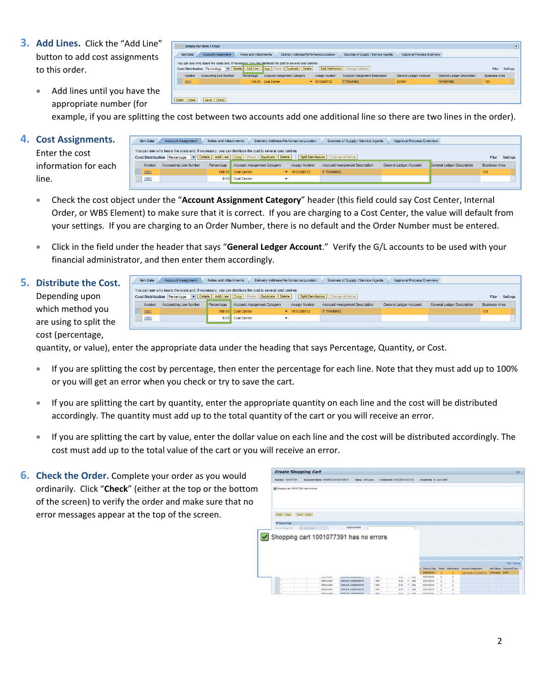**3. Add Lines.** Click the "Add Line" button to add cost assignments to this order.

|                  | Details for item 1 Chair            |                       |                                                                                                                                                        |                                 |                                       |                           |                                   | $\boxed{\mathbf{x}}$ |
|------------------|-------------------------------------|-----------------------|--------------------------------------------------------------------------------------------------------------------------------------------------------|---------------------------------|---------------------------------------|---------------------------|-----------------------------------|----------------------|
| <b>Item Data</b> | <b>Account Assignment</b>           | Notes and Attachments | Delivery Address/Performance Location                                                                                                                  |                                 | Sources of Supply / Service Agents    | Approval Process Overview |                                   |                      |
|                  | <b>Cost Distribution</b> Percentage |                       | You can see who bears the costs and, if necessary, you can distribute the cost to several cost centres<br>Details Add Line Copy Paste Duplicate Delete |                                 | Splt Distribution Change All Items    |                           |                                   | Settings<br>Fiter    |
| <b>Number</b>    | <b>Accounting Line Number</b>       | Percentage            | <b>Account Assignment Category</b>                                                                                                                     | Assign Number                   | <b>Account Assignment Description</b> | General Ledger Account    | <b>General Ledger Description</b> | <b>Business Area</b> |
| 0001             |                                     |                       | 100.00 Cost Center                                                                                                                                     | $\blacktriangledown$ 1010289732 | <b>IT TRAINING</b>                    | 631001                    | <b>FURNITURE</b>                  | 101                  |
|                  |                                     |                       |                                                                                                                                                        |                                 |                                       |                           |                                   |                      |
| Order   Close    | Save   Check                        |                       |                                                                                                                                                        |                                 |                                       |                           |                                   |                      |

• Add lines until you have the appropriate number (for example, if you are splitting the cost between two accounts add one additional line so there are two lines in the order).

#### **4. Cost Assignments.**

Enter the cost information for each line.

| Item Data | <b>Account Assignment</b>     | Notes and Attachments | Delivery Address/Performance Location                                                                  |                                 | Sources of Supply / Service Agents    | Approval Process Overview     |                                   |                        |
|-----------|-------------------------------|-----------------------|--------------------------------------------------------------------------------------------------------|---------------------------------|---------------------------------------|-------------------------------|-----------------------------------|------------------------|
|           |                               |                       | You can see who bears the costs and, if necessary, you can distribute the cost to several cost centres |                                 |                                       |                               |                                   |                        |
|           |                               |                       | Cost Distribution Percentage v Details Add Line Copy Paste Duplicate Delete                            |                                 | Split Distribution   Change All Items |                               |                                   | <b>Filter</b> Settings |
| Number    | <b>Accounting Line Number</b> | Percentage            | <b>Account Assignment Category</b>                                                                     | Assign Number                   | <b>Account Assignment Description</b> | <b>General Ledger Account</b> | <b>Seneral Ledger Description</b> | <b>Business Area</b>   |
| 0001      |                               |                       | 100.00 Cost Center                                                                                     | $\blacktriangledown$ 1010289732 | <b>IT TRAINING</b>                    |                               |                                   | 101                    |
| 0002      |                               |                       | 0.00 Cost Center                                                                                       |                                 |                                       |                               |                                   |                        |
|           |                               |                       |                                                                                                        |                                 |                                       |                               |                                   |                        |

- Check the cost object under the "**Account Assignment Category**" header (this field could say Cost Center, Internal Order, or WBS Element) to make sure that it is correct. If you are charging to a Cost Center, the value will default from your settings. If you are charging to an Order Number, there is no default and the Order Number must be entered.
- Click in the field under the header that says "**General Ledger Account**." Verify the G/L accounts to be used with your financial administrator, and then enter them accordingly.

### **5. Distribute the Cost.**

Depending upon which method you are using to split the cost (percentage,

| <b>Item Data</b> | <b>Account Assignment</b>     | Notes and Attachments | Delivery Address/Performance Location                                                                  |                                  | Sources of Supply / Service Agents    | Approval Process Overview |                            |                      |
|------------------|-------------------------------|-----------------------|--------------------------------------------------------------------------------------------------------|----------------------------------|---------------------------------------|---------------------------|----------------------------|----------------------|
|                  |                               |                       | You can see who bears the costs and, if necessary, you can distribute the cost to several cost centres |                                  |                                       |                           |                            |                      |
|                  |                               |                       | Cost Distribution Percentage v Details Add Line Copy Paste Duplicate Delete                            |                                  | Split Distribution   Change All Items |                           |                            | Settings<br>Filter   |
| Number           | <b>Accounting Line Number</b> | Percentage            | Account Assignment Category                                                                            | <b>Assign Number</b>             | <b>Account Assignment Description</b> | General Ledger Account    | General Ledger Description | <b>Business Area</b> |
| 0001             |                               |                       | 100.00 Cost Center                                                                                     | $\blacktriangleright$ 1010289732 | <b>IT TRAINING</b>                    |                           |                            | 101                  |
| 0002             |                               |                       | 0.00 Cost Center                                                                                       |                                  |                                       |                           |                            |                      |
|                  |                               |                       |                                                                                                        |                                  |                                       |                           |                            |                      |

quantity, or value), enter the appropriate data under the heading that says Percentage, Quantity, or Cost.

- If you are splitting the cost by percentage, then enter the percentage for each line. Note that they must add up to 100% or you will get an error when you check or try to save the cart.
- If you are splitting the cart by quantity, enter the appropriate quantity on each line and the cost will be distributed accordingly. The quantity must add up to the total quantity of the cart or you will receive an error.
- If you are splitting the cart by value, enter the dollar value on each line and the cost will be distributed accordingly. The cost must add up to the total value of the cart or you will receive an error.
- **6. Check the Order.** Complete your order as you would ordinarily. Click "**Check**" (either at the top or the bottom of the screen) to verify the order and make sure that no error messages appear at the top of the screen.

| Namber 1001077391                      | Document Name: UPUR60 03/31/2010 09:37 | Status, in Process.                      |                | Created On 03/31/2010 09:37:58 |                    | Created By Dr. John Smith     |        |                                      |                 |                                |
|----------------------------------------|----------------------------------------|------------------------------------------|----------------|--------------------------------|--------------------|-------------------------------|--------|--------------------------------------|-----------------|--------------------------------|
| Shopping cart 1001077391 has no errors |                                        |                                          |                |                                |                    |                               |        |                                      |                 |                                |
| Order Close Save Check                 |                                        |                                          |                |                                |                    |                               |        |                                      |                 |                                |
| <b>W</b> General Data                  |                                        |                                          |                |                                |                    |                               |        |                                      |                 | n                              |
| flay an Birtuit Of                     | Dr. Jone Seatt                         | Approvai Note                            |                |                                |                    |                               |        |                                      |                 |                                |
|                                        | Shopping cart 1001077391 has no errors |                                          |                |                                |                    |                               |        |                                      |                 |                                |
|                                        |                                        |                                          |                |                                |                    |                               |        |                                      |                 | п                              |
|                                        |                                        |                                          |                |                                |                    |                               |        |                                      |                 | <b>Filter Settings</b>         |
|                                        |                                        |                                          |                |                                |                    | <b>Delivery Date</b>          |        | Notes Altachments Account Assignment |                 | <b>Ren Status DocumentType</b> |
|                                        |                                        |                                          |                |                                |                    | 04/05/2212                    |        | CAM Center (1910289732)              | in Process ECPO |                                |
| ٠                                      |                                        |                                          | ----           | ---                            | <b>COMMERCIAL</b>  | 03/31/2010                    | s      |                                      |                 |                                |
|                                        | SERVAGET<br>SERVAGNIT                  | SERVICE AGREEMENTS                       | 1,000          | 0.00<br>0.00                   | $1$ uto            | 03/31/2010                    | 'n     |                                      |                 |                                |
| ٠                                      | <b>SERVAGNT</b>                        | SERVICE AGREEMENTS<br>SERVICE ADRESSENTS | 1.000<br>1,000 | 0.00                           | $+1$ uso<br>11 850 | 03/31/2010<br><b>ESC12218</b> | ×<br>× |                                      |                 |                                |